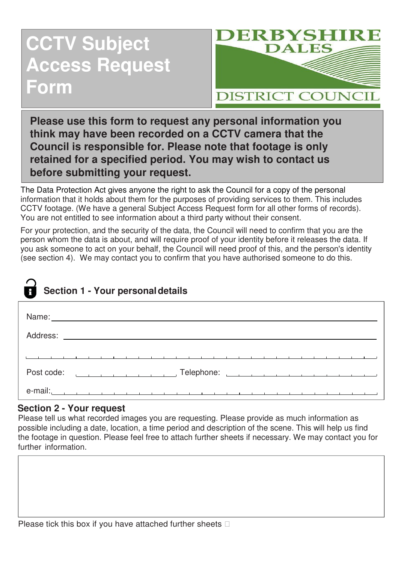# **CCTV Subject Access Request Form**



**Please use this form to request any personal information you think may have been recorded on a CCTV camera that the Council is responsible for. Please note that footage is only retained for a specified period. You may wish to contact us before submitting your request.**

The Data Protection Act gives anyone the right to ask the Council for a copy of the personal information that it holds about them for the purposes of providing services to them. This includes CCTV footage. (We have a general Subject Access Request form for all other forms of records). You are not entitled to see information about a third party without their consent.

For your protection, and the security of the data, the Council will need to confirm that you are the person whom the data is about, and will require proof of your identity before it releases the data. If you ask someone to act on your behalf, the Council will need proof of this, and the person's identity (see section 4). We may contact you to confirm that you have authorised someone to do this.

## **Section 1 - Your personaldetails**

| Post code: $\begin{array}{ccc} \begin{array}{ccc} \begin{array}{ccc} \end{array} & \begin{array}{ccc} \end{array} & \begin{array}{ccc} \end{array} & \begin{array}{ccc} \end{array} & \begin{array}{ccc} \end{array} & \begin{array}{ccc} \end{array} & \begin{array}{ccc} \end{array} & \begin{array}{ccc} \end{array} & \begin{array}{ccc} \end{array} & \begin{array}{ccc} \end{array}$ |
|--------------------------------------------------------------------------------------------------------------------------------------------------------------------------------------------------------------------------------------------------------------------------------------------------------------------------------------------------------------------------------------------|
| e-mail: 2014 - 2022 - 2022 - 2022 - 2022 - 2022 - 2022 - 2022 - 2022 - 2022 - 2022 - 2022 - 2022 - 20                                                                                                                                                                                                                                                                                      |

#### **Section 2 - Your request**

Please tell us what recorded images you are requesting. Please provide as much information as possible including a date, location, a time period and description of the scene. This will help us find the footage in question. Please feel free to attach further sheets if necessary. We may contact you for further information.